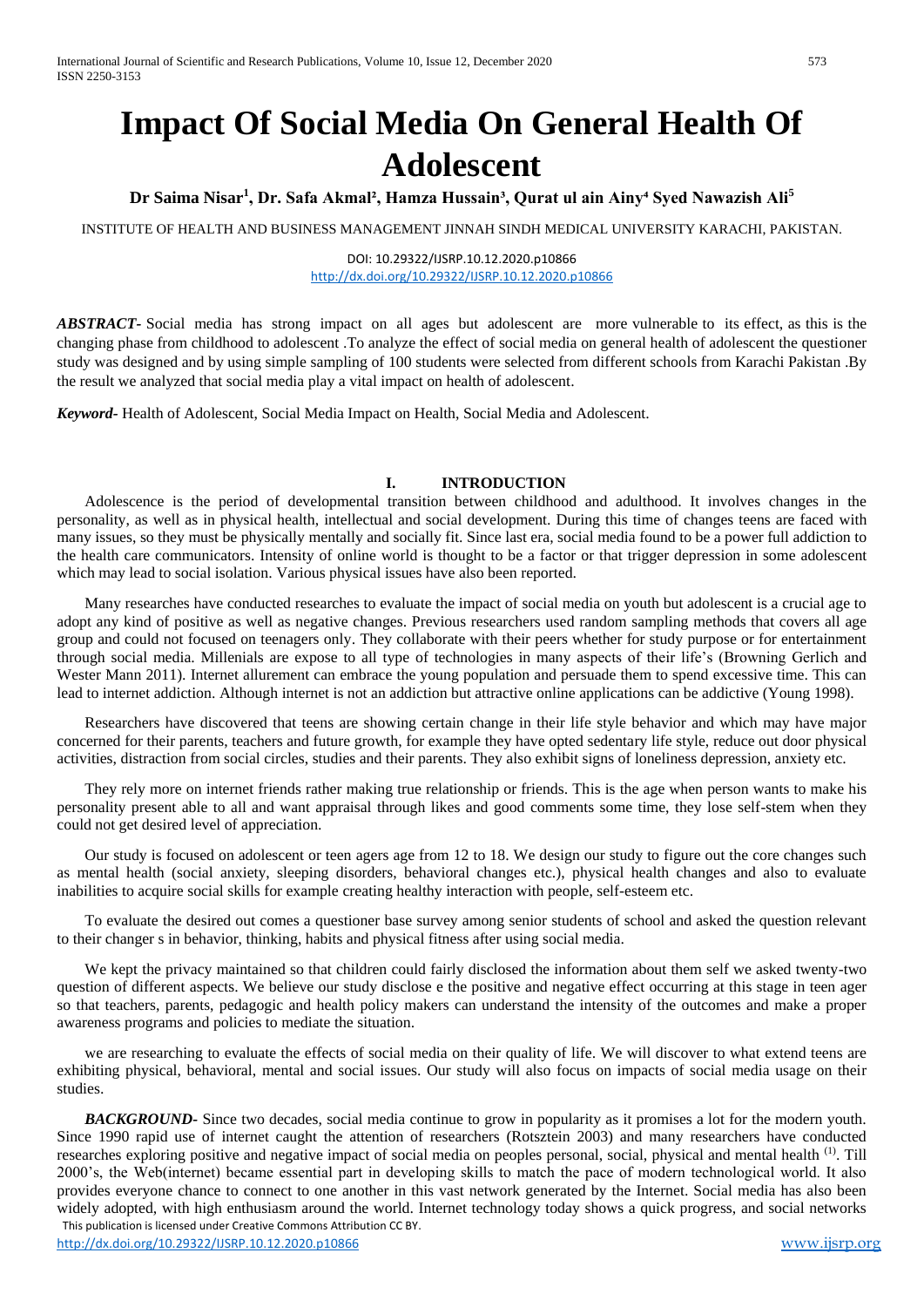# **Impact Of Social Media On General Health Of Adolescent**

**Dr Saima Nisar<sup>1</sup> , Dr. Safa Akmal², Hamza Hussain³, Qurat ul ain Ainy⁴ Syed Nawazish Ali<sup>5</sup>**

INSTITUTE OF HEALTH AND BUSINESS MANAGEMENT JINNAH SINDH MEDICAL UNIVERSITY KARACHI, PAKISTAN.

DOI: 10.29322/IJSRP.10.12.2020.p10866 <http://dx.doi.org/10.29322/IJSRP.10.12.2020.p10866>

*ABSTRACT-* Social media has strong impact on all ages but adolescent are more vulnerable to its effect, as this is the changing phase from childhood to adolescent .To analyze the effect of social media on general health of adolescent the questioner study was designed and by using simple sampling of 100 students were selected from different schools from Karachi Pakistan .By the result we analyzed that social media play a vital impact on health of adolescent.

*Keyword-* Health of Adolescent, Social Media Impact on Health, Social Media and Adolescent.

#### **I. INTRODUCTION**

Adolescence is the period of developmental transition between childhood and adulthood. It involves changes in the personality, as well as in physical health, intellectual and social development. During this time of changes teens are faced with many issues, so they must be physically mentally and socially fit. Since last era, social media found to be a power full addiction to the health care communicators. Intensity of online world is thought to be a factor or that trigger depression in some adolescent which may lead to social isolation. Various physical issues have also been reported.

Many researches have conducted researches to evaluate the impact of social media on youth but adolescent is a crucial age to adopt any kind of positive as well as negative changes. Previous researchers used random sampling methods that covers all age group and could not focused on teenagers only. They collaborate with their peers whether for study purpose or for entertainment through social media. Millenials are expose to all type of technologies in many aspects of their life's (Browning Gerlich and Wester Mann 2011). Internet allurement can embrace the young population and persuade them to spend excessive time. This can lead to internet addiction. Although internet is not an addiction but attractive online applications can be addictive (Young 1998).

Researchers have discovered that teens are showing certain change in their life style behavior and which may have major concerned for their parents, teachers and future growth, for example they have opted sedentary life style, reduce out door physical activities, distraction from social circles, studies and their parents. They also exhibit signs of loneliness depression, anxiety etc.

They rely more on internet friends rather making true relationship or friends. This is the age when person wants to make his personality present able to all and want appraisal through likes and good comments some time, they lose self-stem when they could not get desired level of appreciation.

Our study is focused on adolescent or teen agers age from 12 to 18. We design our study to figure out the core changes such as mental health (social anxiety, sleeping disorders, behavioral changes etc.), physical health changes and also to evaluate inabilities to acquire social skills for example creating healthy interaction with people, self-esteem etc.

To evaluate the desired out comes a questioner base survey among senior students of school and asked the question relevant to their changer s in behavior, thinking, habits and physical fitness after using social media.

We kept the privacy maintained so that children could fairly disclosed the information about them self we asked twenty-two question of different aspects. We believe our study disclose e the positive and negative effect occurring at this stage in teen ager so that teachers, parents, pedagogic and health policy makers can understand the intensity of the outcomes and make a proper awareness programs and policies to mediate the situation.

we are researching to evaluate the effects of social media on their quality of life. We will discover to what extend teens are exhibiting physical, behavioral, mental and social issues. Our study will also focus on impacts of social media usage on their studies.

 This publication is licensed under Creative Commons Attribution CC BY. *BACKGROUND-* Since two decades, social media continue to grow in popularity as it promises a lot for the modern youth. Since 1990 rapid use of internet caught the attention of researchers (Rotsztein 2003) and many researchers have conducted researches exploring positive and negative impact of social media on peoples personal, social, physical and mental health <sup>(1)</sup>. Till 2000's, the Web(internet) became essential part in developing skills to match the pace of modern technological world. It also provides everyone chance to connect to one another in this vast network generated by the Internet. Social media has also been widely adopted, with high enthusiasm around the world. Internet technology today shows a quick progress, and social networks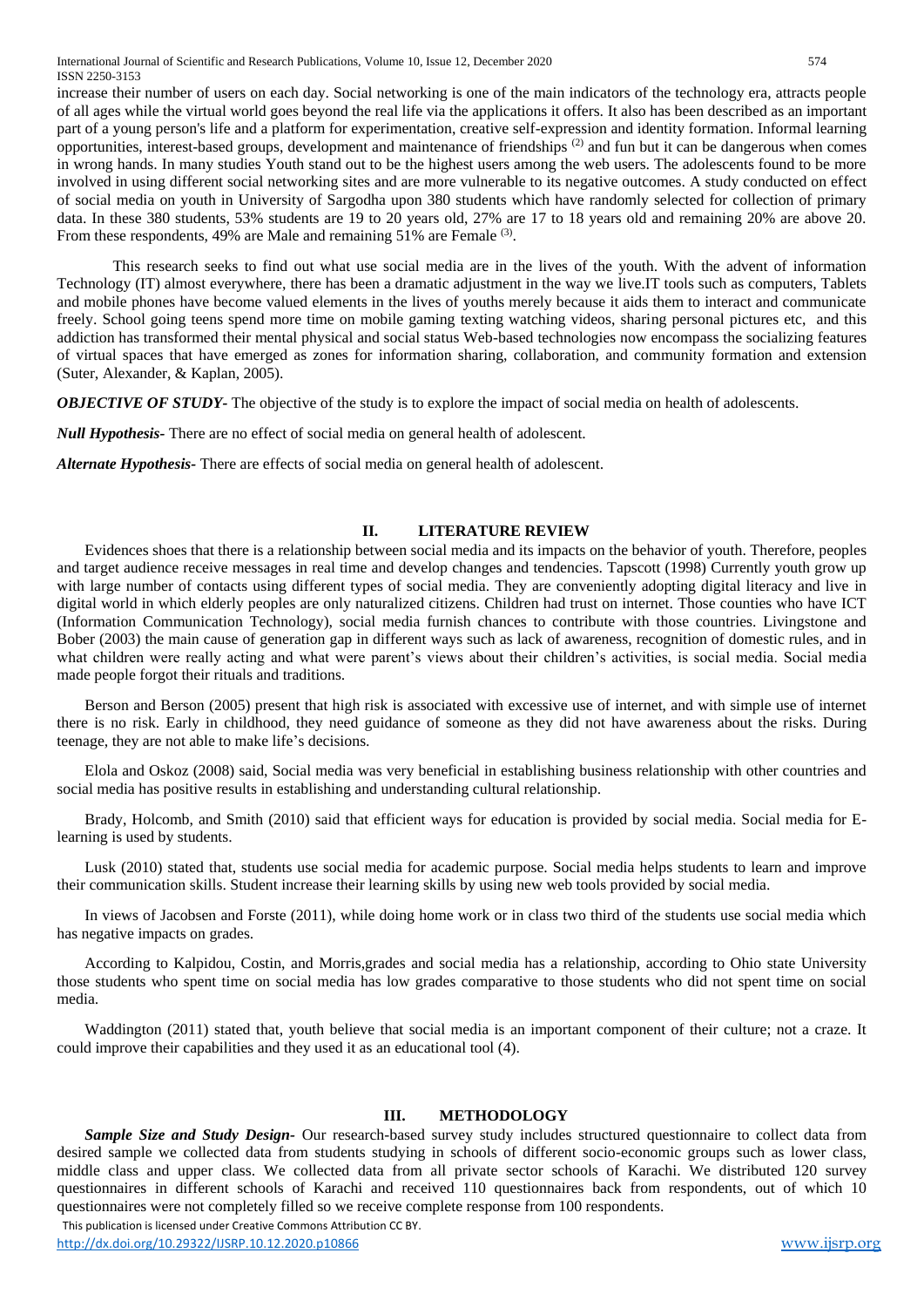International Journal of Scientific and Research Publications, Volume 10, Issue 12, December 2020 574 ISSN 2250-3153

increase their number of users on each day. Social networking is one of the main indicators of the technology era, attracts people of all ages while the virtual world goes beyond the real life via the applications it offers. It also has been described as an important part of a young person's life and a platform for experimentation, creative self-expression and identity formation. Informal learning opportunities, interest-based groups, development and maintenance of friendships  $(2)$  and fun but it can be dangerous when comes in wrong hands. In many studies Youth stand out to be the highest users among the web users. The adolescents found to be more involved in using different social networking sites and are more vulnerable to its negative outcomes. A study conducted on effect of social media on youth in University of Sargodha upon 380 students which have randomly selected for collection of primary data. In these 380 students, 53% students are 19 to 20 years old, 27% are 17 to 18 years old and remaining 20% are above 20. From these respondents, 49% are Male and remaining 51% are Female (3).

This research seeks to find out what use social media are in the lives of the youth. With the advent of information Technology (IT) almost everywhere, there has been a dramatic adjustment in the way we live.IT tools such as computers, Tablets and mobile phones have become valued elements in the lives of youths merely because it aids them to interact and communicate freely. School going teens spend more time on mobile gaming texting watching videos, sharing personal pictures etc, and this addiction has transformed their mental physical and social status Web-based technologies now encompass the socializing features of virtual spaces that have emerged as zones for information sharing, collaboration, and community formation and extension (Suter, Alexander, & Kaplan, 2005).

*OBJECTIVE OF STUDY*- The objective of the study is to explore the impact of social media on health of adolescents.

*Null Hypothesis-* There are no effect of social media on general health of adolescent.

*Alternate Hypothesis-* There are effects of social media on general health of adolescent.

#### **II. LITERATURE REVIEW**

Evidences shoes that there is a relationship between social media and its impacts on the behavior of youth. Therefore, peoples and target audience receive messages in real time and develop changes and tendencies. Tapscott (1998) Currently youth grow up with large number of contacts using different types of social media. They are conveniently adopting digital literacy and live in digital world in which elderly peoples are only naturalized citizens. Children had trust on internet. Those counties who have ICT (Information Communication Technology), social media furnish chances to contribute with those countries. Livingstone and Bober (2003) the main cause of generation gap in different ways such as lack of awareness, recognition of domestic rules, and in what children were really acting and what were parent's views about their children's activities, is social media. Social media made people forgot their rituals and traditions.

Berson and Berson (2005) present that high risk is associated with excessive use of internet, and with simple use of internet there is no risk. Early in childhood, they need guidance of someone as they did not have awareness about the risks. During teenage, they are not able to make life's decisions.

Elola and Oskoz (2008) said, Social media was very beneficial in establishing business relationship with other countries and social media has positive results in establishing and understanding cultural relationship.

Brady, Holcomb, and Smith (2010) said that efficient ways for education is provided by social media. Social media for Elearning is used by students.

Lusk (2010) stated that, students use social media for academic purpose. Social media helps students to learn and improve their communication skills. Student increase their learning skills by using new web tools provided by social media.

In views of Jacobsen and Forste (2011), while doing home work or in class two third of the students use social media which has negative impacts on grades.

According to Kalpidou, Costin, and Morris,grades and social media has a relationship, according to Ohio state University those students who spent time on social media has low grades comparative to those students who did not spent time on social media.

Waddington (2011) stated that, youth believe that social media is an important component of their culture; not a craze. It could improve their capabilities and they used it as an educational tool (4).

#### **III. METHODOLOGY**

 This publication is licensed under Creative Commons Attribution CC BY. *Sample Size and Study Design-* Our research-based survey study includes structured questionnaire to collect data from desired sample we collected data from students studying in schools of different socio-economic groups such as lower class, middle class and upper class. We collected data from all private sector schools of Karachi. We distributed 120 survey questionnaires in different schools of Karachi and received 110 questionnaires back from respondents, out of which 10 questionnaires were not completely filled so we receive complete response from 100 respondents.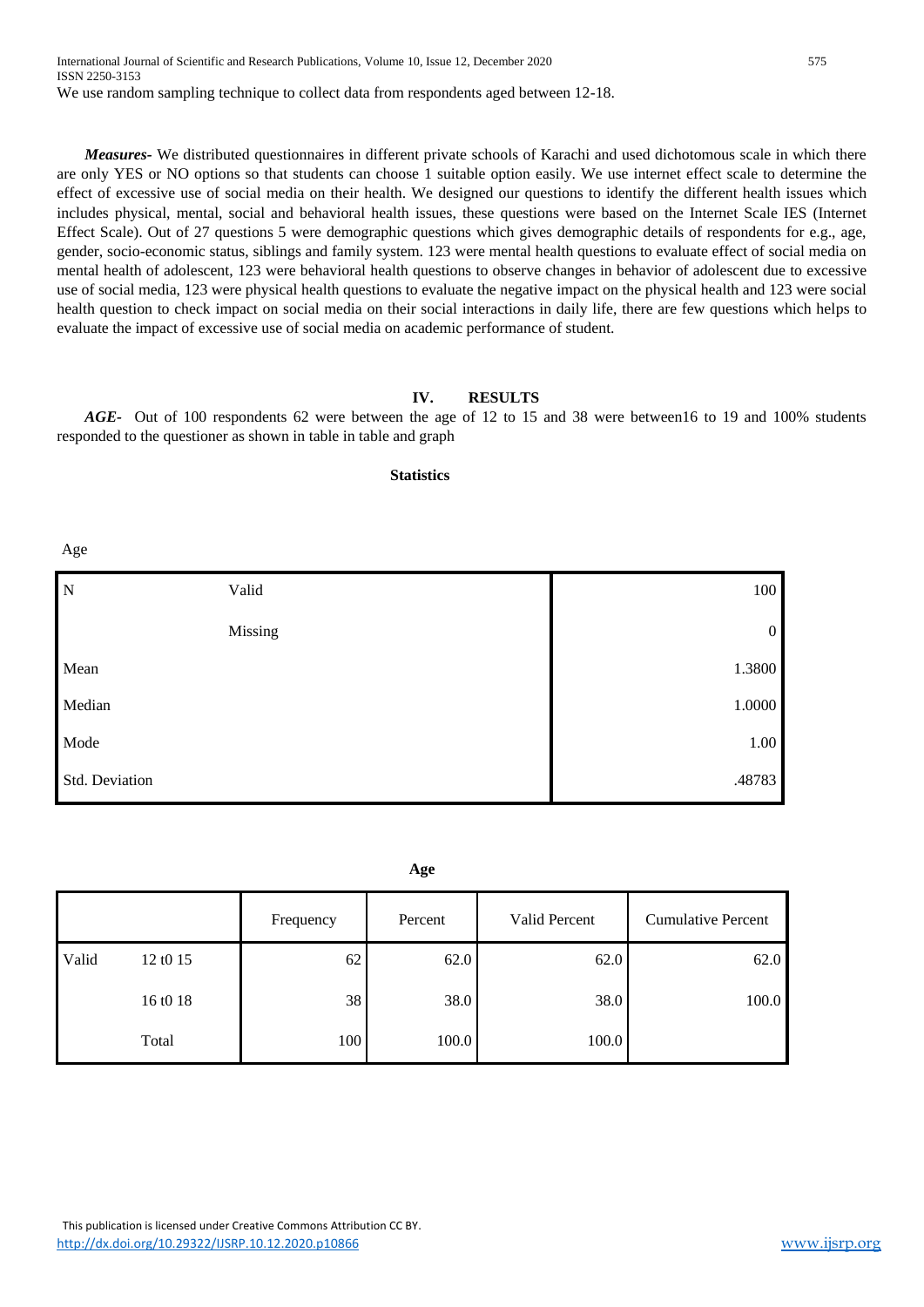International Journal of Scientific and Research Publications, Volume 10, Issue 12, December 2020 575 ISSN 2250-3153 We use random sampling technique to collect data from respondents aged between 12-18.

*Measures-* We distributed questionnaires in different private schools of Karachi and used dichotomous scale in which there are only YES or NO options so that students can choose 1 suitable option easily. We use internet effect scale to determine the effect of excessive use of social media on their health. We designed our questions to identify the different health issues which includes physical, mental, social and behavioral health issues, these questions were based on the Internet Scale IES (Internet Effect Scale). Out of 27 questions 5 were demographic questions which gives demographic details of respondents for e.g., age, gender, socio-economic status, siblings and family system. 123 were mental health questions to evaluate effect of social media on mental health of adolescent, 123 were behavioral health questions to observe changes in behavior of adolescent due to excessive use of social media, 123 were physical health questions to evaluate the negative impact on the physical health and 123 were social health question to check impact on social media on their social interactions in daily life, there are few questions which helps to evaluate the impact of excessive use of social media on academic performance of student.

#### **IV. RESULTS**

*AGE-* Out of 100 respondents 62 were between the age of 12 to 15 and 38 were between16 to 19 and 100% students responded to the questioner as shown in table in table and graph

**Statistics**

Age

| 100              |
|------------------|
| $\boldsymbol{0}$ |
| 1.3800           |
| 1.0000           |
| 1.00             |
| .48783           |
|                  |

**Age**

|       |          | Frequency | Percent | Valid Percent | <b>Cumulative Percent</b> |
|-------|----------|-----------|---------|---------------|---------------------------|
| Valid | 12 t0 15 | 62        | 62.0    | 62.0          | 62.0                      |
|       | 16 t0 18 | 38        | 38.0    | 38.0          | 100.0                     |
|       | Total    | 100       | 100.0   | 100.0         |                           |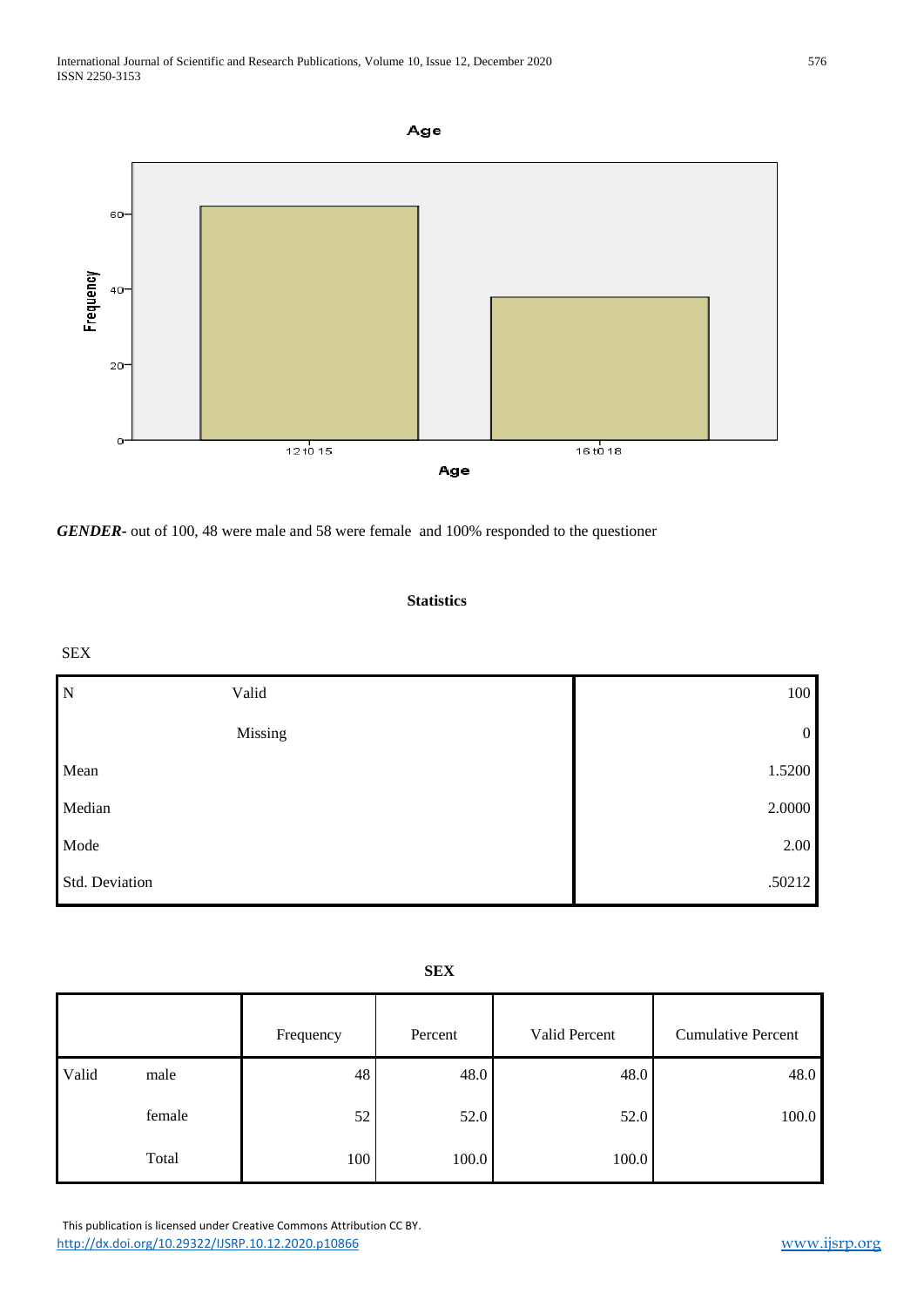

*GENDER-* out of 100, 48 were male and 58 were female and 100% responded to the questioner

#### **Statistics**

#### SEX

| $\mathbf N$    | Valid   | 100            |
|----------------|---------|----------------|
|                | Missing | $\overline{0}$ |
| Mean           |         | 1.5200         |
| Median         |         | 2.0000         |
| Mode           |         | 2.00           |
| Std. Deviation |         | .50212         |

|       |        | Frequency | Percent | Valid Percent | <b>Cumulative Percent</b> |
|-------|--------|-----------|---------|---------------|---------------------------|
| Valid | male   | 48        | 48.0    | 48.0          | 48.0                      |
|       | female | 52        | 52.0    | 52.0          | 100.0                     |
|       | Total  | 100       | 100.0   | 100.0         |                           |

 This publication is licensed under Creative Commons Attribution CC BY. <http://dx.doi.org/10.29322/IJSRP.10.12.2020.p10866> [www.ijsrp.org](http://ijsrp.org/)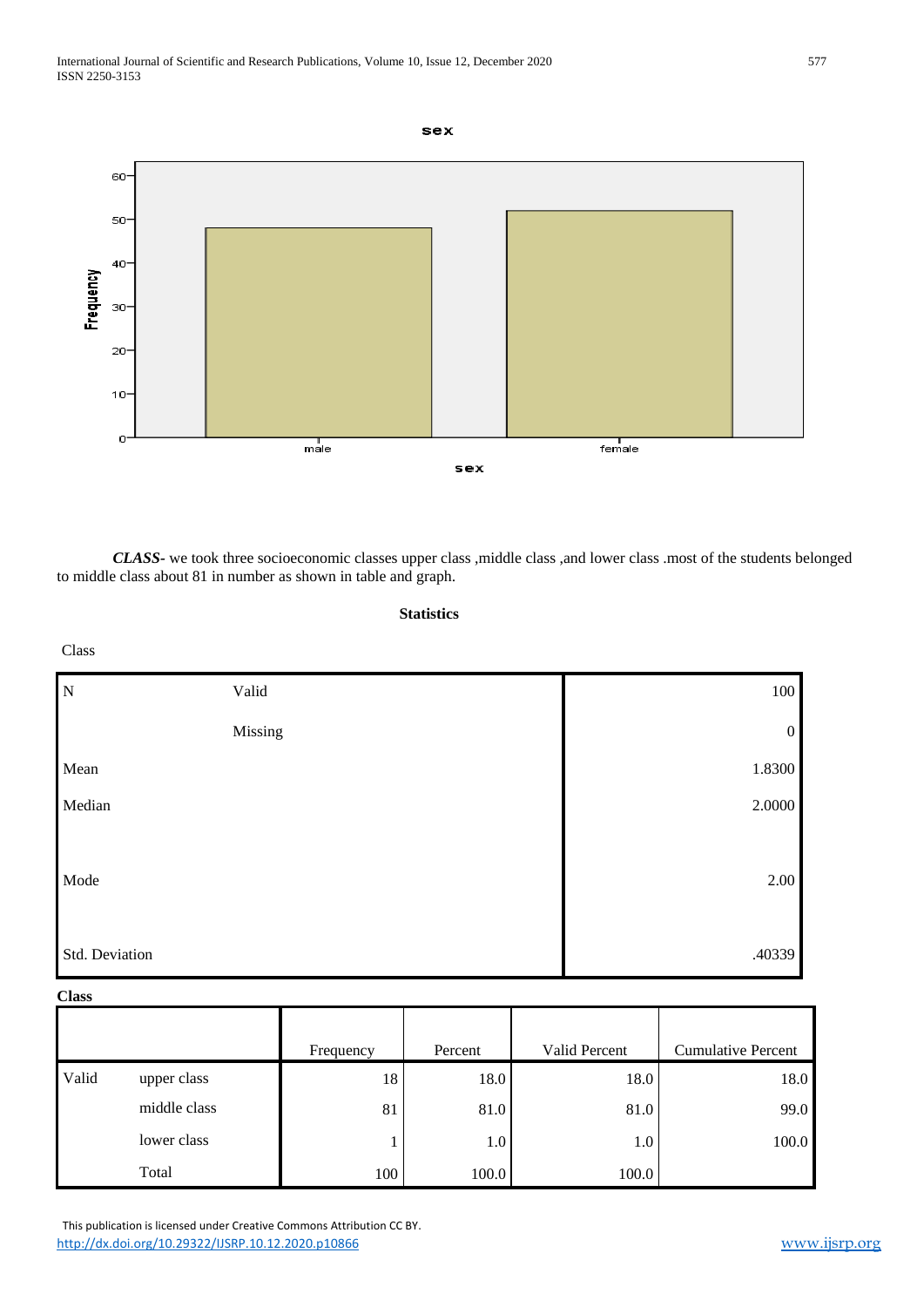

*CLASS-* we took three socioeconomic classes upper class ,middle class ,and lower class .most of the students belonged to middle class about 81 in number as shown in table and graph.

#### **Statistics**

#### Class

| $\overline{N}$ | Valid   | 100              |
|----------------|---------|------------------|
|                | Missing | $\boldsymbol{0}$ |
| Mean           |         | 1.8300           |
| Median         |         | 2.0000           |
| Mode           |         | 2.00             |
| Std. Deviation |         | .40339           |

#### **Class**

|       |              | Frequency | Percent | Valid Percent | <b>Cumulative Percent</b> |
|-------|--------------|-----------|---------|---------------|---------------------------|
| Valid | upper class  | 18        | 18.0    | 18.0          | 18.0                      |
|       | middle class | 81        | 81.0    | 81.0          | 99.0                      |
|       | lower class  |           | 1.0     | $1.0\,$       | 100.0                     |
|       | Total        | 100       | 100.0   | 100.0         |                           |

 This publication is licensed under Creative Commons Attribution CC BY. <http://dx.doi.org/10.29322/IJSRP.10.12.2020.p10866> [www.ijsrp.org](http://ijsrp.org/)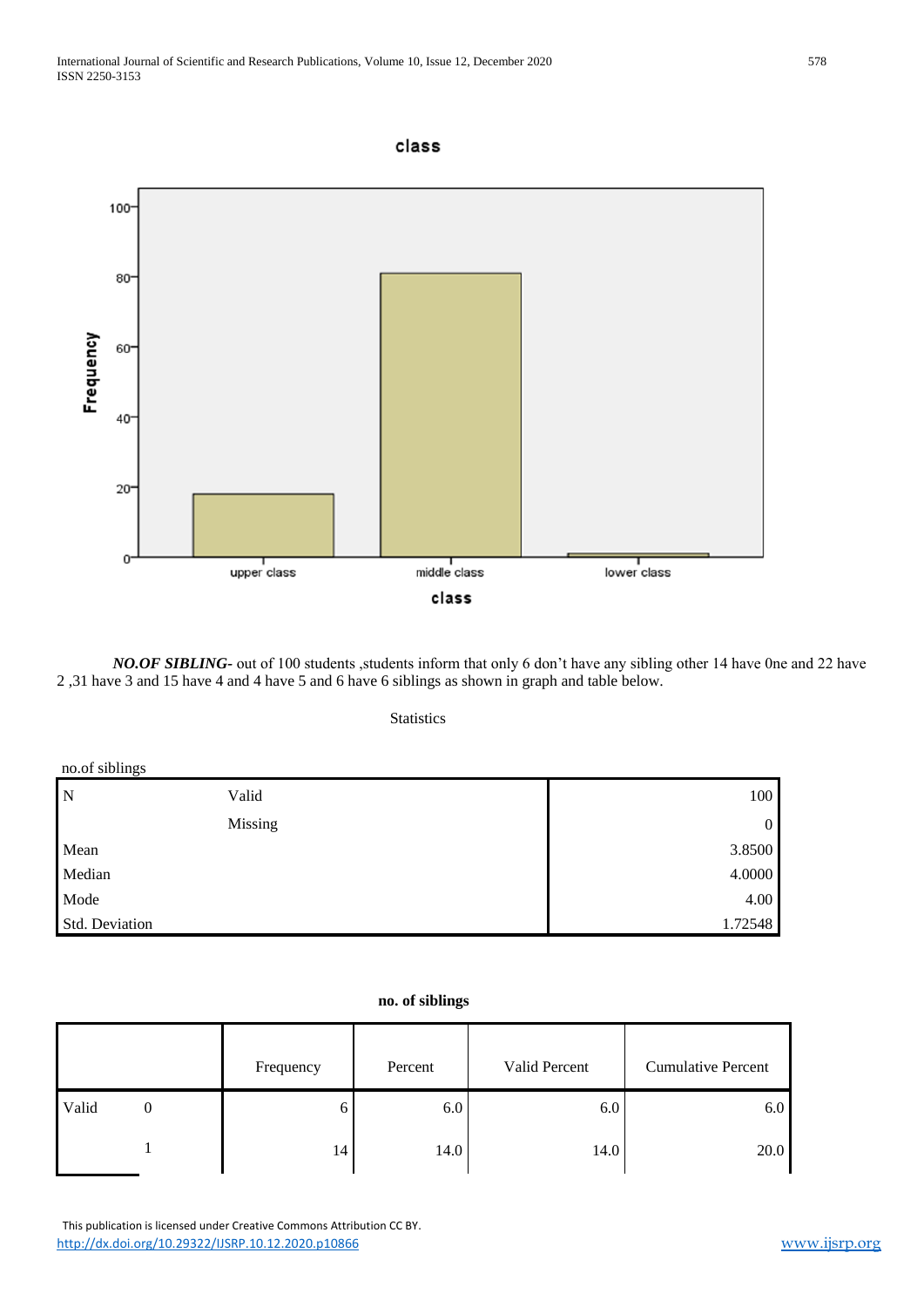#### class



*NO.OF SIBLING*- out of 100 students , students inform that only 6 don't have any sibling other 14 have 0ne and 22 have 2 ,31 have 3 and 15 have 4 and 4 have 5 and 6 have 6 siblings as shown in graph and table below.

**Statistics** 

| no.of siblings |         |              |
|----------------|---------|--------------|
| N              | Valid   | 100          |
|                | Missing | $\mathbf{0}$ |
| Mean           |         | 3.8500       |
| Median         |         | 4.0000       |
| Mode           |         | 4.00         |
| Std. Deviation |         | 1.72548      |

#### **no. of siblings**

|       | Frequency | Percent | Valid Percent | <b>Cumulative Percent</b> |
|-------|-----------|---------|---------------|---------------------------|
| Valid | h         | 6.0     | 6.0           | 6.0                       |
|       | 14        | 14.0    | 14.0          | 20.0                      |

 This publication is licensed under Creative Commons Attribution CC BY. <http://dx.doi.org/10.29322/IJSRP.10.12.2020.p10866> [www.ijsrp.org](http://ijsrp.org/)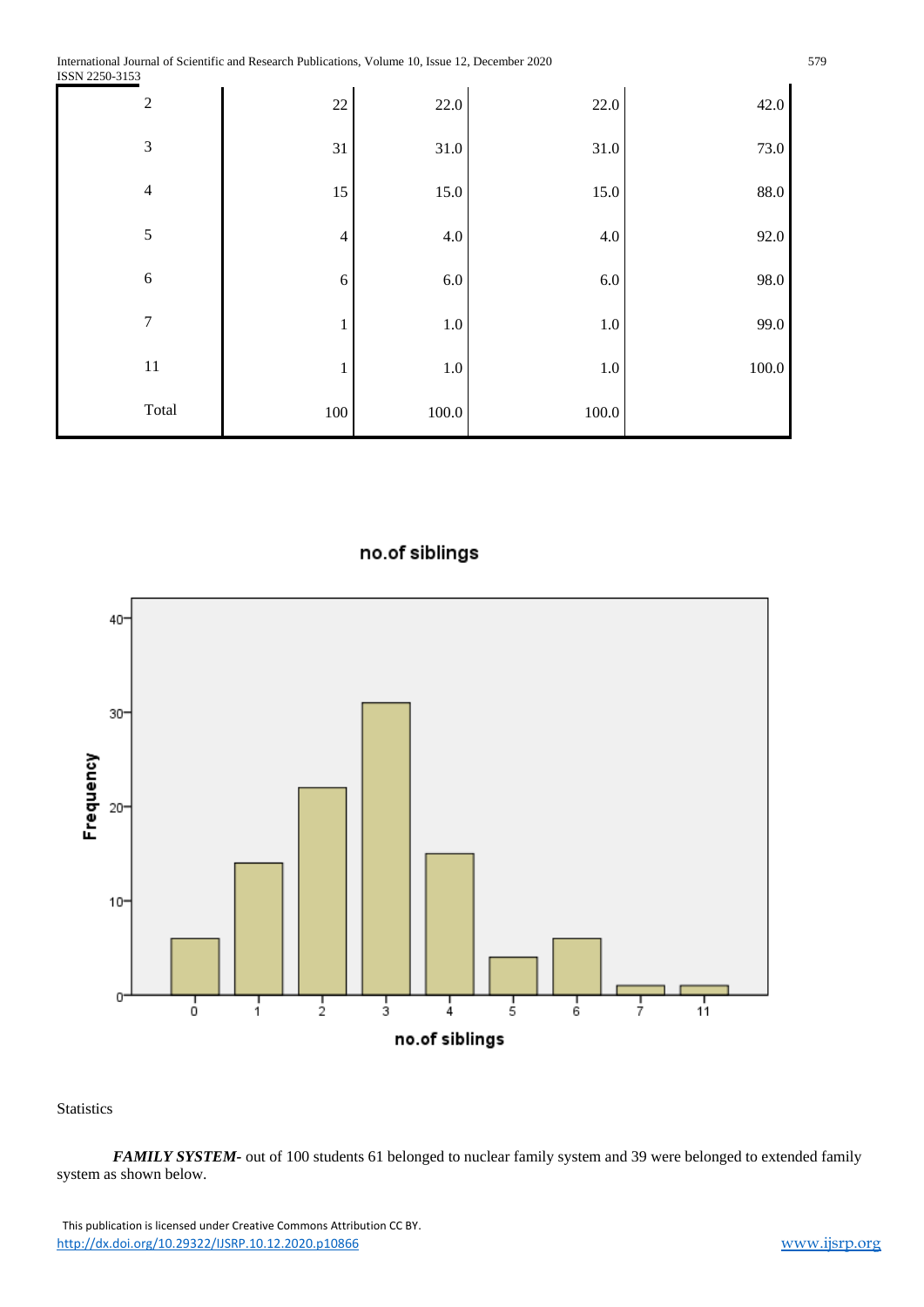| $\overline{2}$ | $22\,$         | 22.0      | 22.0      | 42.0      |
|----------------|----------------|-----------|-----------|-----------|
| $\mathfrak{Z}$ | 31             | 31.0      | $31.0\,$  | 73.0      |
| $\overline{4}$ | 15             | 15.0      | 15.0      | 88.0      |
| $\sqrt{5}$     | $\overline{4}$ | 4.0       | $4.0\,$   | 92.0      |
| 6              | $\sqrt{6}$     | $6.0\,$   | $6.0\,$   | 98.0      |
| $\tau$         | $\mathbf{1}$   | $1.0\,$   | $1.0\,$   | 99.0      |
| $11\,$         | 1              | $1.0\,$   | $1.0\,$   | $100.0\,$ |
| Total          | $100\,$        | $100.0\,$ | $100.0\,$ |           |

### no.of siblings



**Statistics** 

*FAMILY SYSTEM-* out of 100 students 61 belonged to nuclear family system and 39 were belonged to extended family system as shown below.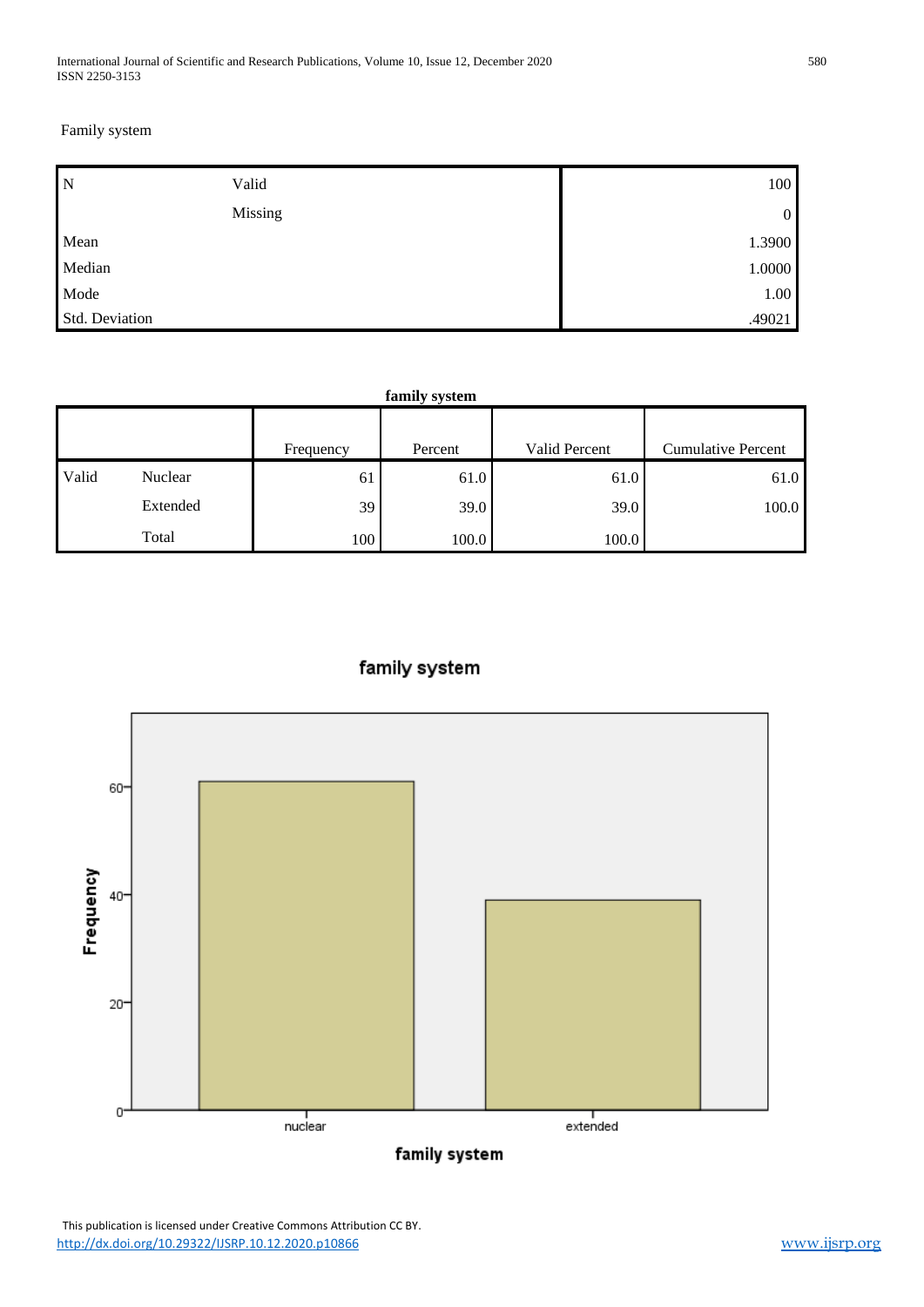Family system

| $\overline{N}$ | Valid   | 100            |
|----------------|---------|----------------|
|                | Missing | $\overline{0}$ |
| Mean           |         | 1.3900         |
| Median         |         | 1.0000         |
| Mode           |         | 1.00           |
| Std. Deviation |         | .49021         |

|       | family system |           |         |               |                           |  |
|-------|---------------|-----------|---------|---------------|---------------------------|--|
|       |               | Frequency | Percent | Valid Percent | <b>Cumulative Percent</b> |  |
| Valid | Nuclear       | 61        | 61.0    | 61.0          | 61.0                      |  |
|       | Extended      | 39        | 39.0    | 39.0          | 100.0                     |  |
|       | Total         | 100       | 100.0   | 100.0         |                           |  |



## family system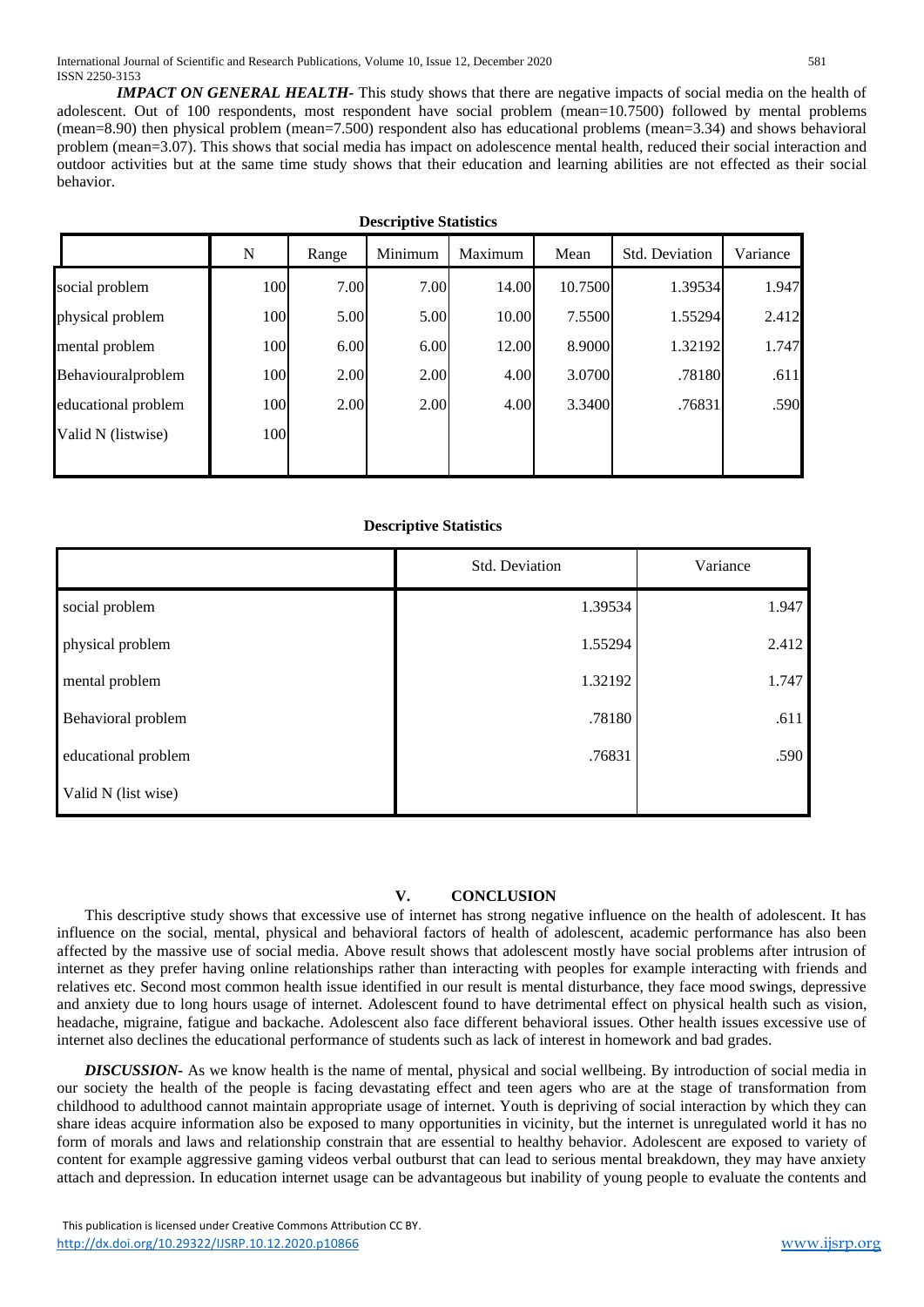*IMPACT ON GENERAL HEALTH-* This study shows that there are negative impacts of social media on the health of adolescent. Out of 100 respondents, most respondent have social problem (mean=10.7500) followed by mental problems (mean=8.90) then physical problem (mean=7.500) respondent also has educational problems (mean=3.34) and shows behavioral problem (mean=3.07). This shows that social media has impact on adolescence mental health, reduced their social interaction and outdoor activities but at the same time study shows that their education and learning abilities are not effected as their social behavior.

| <b>Descriptive Statistics</b> |     |       |         |         |         |                |          |  |  |
|-------------------------------|-----|-------|---------|---------|---------|----------------|----------|--|--|
|                               | N   | Range | Minimum | Maximum | Mean    | Std. Deviation | Variance |  |  |
| social problem                | 100 | 7.00  | 7.00    | 14.00   | 10.7500 | 1.39534        | 1.947    |  |  |
| physical problem              | 100 | 5.00  | 5.00    | 10.00   | 7.5500  | 1.55294        | 2.412    |  |  |
| mental problem                | 100 | 6.00  | 6.00    | 12.00   | 8.9000  | 1.32192        | 1.747    |  |  |
| Behaviouralproblem            | 100 | 2.00  | 2.00    | 4.00    | 3.0700  | .78180         | .611     |  |  |
| educational problem           | 100 | 2.00  | 2.00    | 4.00    | 3.3400  | .76831         | .590     |  |  |
| Valid N (listwise)            | 100 |       |         |         |         |                |          |  |  |
|                               |     |       |         |         |         |                |          |  |  |

#### **Descriptive Statistics**

|                     | Std. Deviation | Variance |
|---------------------|----------------|----------|
| social problem      | 1.39534        | 1.947    |
| physical problem    | 1.55294        | 2.412    |
| mental problem      | 1.32192        | 1.747    |
| Behavioral problem  | .78180         | .611     |
| educational problem | .76831         | .590     |
| Valid N (list wise) |                |          |

#### **V. CONCLUSION**

This descriptive study shows that excessive use of internet has strong negative influence on the health of adolescent. It has influence on the social, mental, physical and behavioral factors of health of adolescent, academic performance has also been affected by the massive use of social media. Above result shows that adolescent mostly have social problems after intrusion of internet as they prefer having online relationships rather than interacting with peoples for example interacting with friends and relatives etc. Second most common health issue identified in our result is mental disturbance, they face mood swings, depressive and anxiety due to long hours usage of internet. Adolescent found to have detrimental effect on physical health such as vision, headache, migraine, fatigue and backache. Adolescent also face different behavioral issues. Other health issues excessive use of internet also declines the educational performance of students such as lack of interest in homework and bad grades.

*DISCUSSION-* As we know health is the name of mental, physical and social wellbeing. By introduction of social media in our society the health of the people is facing devastating effect and teen agers who are at the stage of transformation from childhood to adulthood cannot maintain appropriate usage of internet. Youth is depriving of social interaction by which they can share ideas acquire information also be exposed to many opportunities in vicinity, but the internet is unregulated world it has no form of morals and laws and relationship constrain that are essential to healthy behavior. Adolescent are exposed to variety of content for example aggressive gaming videos verbal outburst that can lead to serious mental breakdown, they may have anxiety attach and depression. In education internet usage can be advantageous but inability of young people to evaluate the contents and